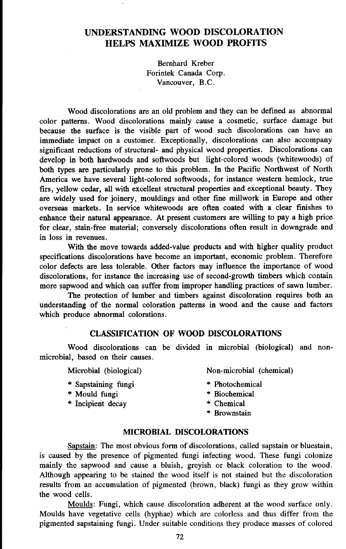# **UNDERSTANDING WOOD DISCOLORATION HELPS MAXIMIZE WOOD PROFITS**

Bernhard Kreber Forintek Canada Corp. Vancouver, B.C.

Wood discolorations are an old problem and they can be defined as abnormal color patterns. Wood discolorations mainly cause a cosmetic, surface damage but because the surface is the visible part of wood such discolorations can have an immediate impact on a customer. Exceptionally, discolorations can also accompany significant reductions of structural- and physical wood properties. Discolorations can develop in both hardwoods and softwoods but light-colored woods (whitewoods) of both types are particularly prone to this problem. **In** the Pacific Northwest of North America we have several light-colored softwoods, for instance western hemlock, true firs, yellow cedar, all with excellent structural properties and exceptional beauty. They are widely used for joinery, mouldings and other fine millwork in Europe and other overseas markets. In service whitewoods are often coated with a clear finishes to enhance their natural appearance. At present customers are willing to pay a high price for clear, stain-free material; conversely discolorations often result in downgrade and in loss in revenues.

With the move towards added-value products and with higher quality product specifications discolorations have become an important, economic problem. Therefore color defects are less tolerable. Other factors may influence the importance of wood discolorations, for instance the increasing use of second-growth timbers which contain more sapwood and which can suffer from improper handling practices of sawn lumber.

The protection of lumber and timbers against discoloration requires both an understanding of the normal coloration patterns in wood and the cause and factors which produce abnormal colorations.

### **CLASSIFICATION OF WOOD DISCOLORATIONS**

Wood discolorations can be divided in microbial (biological) and nonmicrobial, based on their causes.

Microbial (biological)

- \* Sapstaining fungi
- \* Mould fungi
- \* Incipient decay
- Non-microbial (chemical)
- \* Photochemical
- \* Biochemical
- \* Chemical
- \* Brownstain

## **MICROBIAL DISCOLORATIONS**

Sapstain: The most obvious form of discolorations, called sapstain or bluestain, is caused by the presence of pigmented fungi infecting wood. These fungi colonize mainly the sapwood and cause a bluish, greyish or black coloration to the wood. Although appearing to be stained the wood itself is not stained but the discoloration results from an accumulation of pigmented (brown, black) fungi as they grow within the wood cells.

Moulds: Fungi, which cause discoloration adherent at the wood surface only. Moulds have vegetative cells (hyphae) which are colorless and thus differ from the pigmented sapstaining fungi. Under suitable conditions they produce masses of colored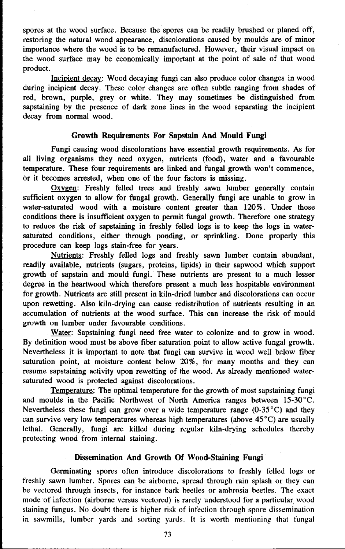spores at the wood surface. Because the spores can be readily brushed or planed off, restoring the natural wood appearance, discolorations caused by moulds are of minor importance where the wood is to be remanufactured. However, their visual impact on the wood surface may be economically important at the point of sale of that wood product.

Incipient decay: Wood decaying fungi can also produce color changes in wood during incipient decay. These color changes are often subtle ranging from shades of red, brown, purple, grey or white. They may sometimes be distinguished from sapstaining by the presence of dark zone lines in the wood separating the incipient decay from normal wood.

### **Growth Requirements For Sapstain And Mould Fungi**

Fungi causing wood discolorations have essential growth requirements. As for all living organisms they need oxygen, nutrients (food), water and a favourable temperature. These four requirements are linked and fungal growth won't commence, or it becomes arrested, when one of the four factors is missing.

Oxygen: Freshly felled trees and freshly sawn lumber generally contain sufficient oxygen to allow for fungal growth. Generally fungi are unable to grow in water-saturated wood with a moisture content greater than 120%. Under those conditions there is insufficient oxygen to permit fungal growth. Therefore one strategy to reduce the risk of sapstaining in freshly felled logs is to keep the logs in watersaturated conditions, either through ponding, or sprinkling. Done properly this procedure can keep logs stain-free for years.

Nutrients: Freshly felled logs and freshly sawn lumber contain abundant, readily available, nutrients (sugars, proteins, lipids) in their sapwood which support growth of sapstain and mould fungi. These nutrients are present to a much lesser degree in the heartwood which therefore present a much less hospitable environment for growth. Nutrients are still present in kiln-dried lumber and discolorations can occur upon rewetting. Also kiln-drying can cause redistribution of nutrients resulting in an accumulation of nutrients at the wood surface. This can increase the risk of mould growth on lumber under favourable conditions.

Water: Sapstaining fungi need free water to colonize and to grow in wood. By definition wood must be above fiber saturation point to allow active fungal growth. Nevertheless it is important to note that fungi can survive in wood well below fiber saturation point, at moisture content below 20%, for many months and they can resume sapstaining activity upon rewetting of the wood. As already mentioned watersaturated wood is protected against discolorations.

Temperature: The optimal temperature for the growth of most sapstaining fungi and moulds in the Pacific Northwest of North America ranges between 15-30°C. Nevertheless these fungi can grow over a wide temperature range  $(0-35^{\circ}C)$  and they can survive very low temperatures whereas high temperatures (above 45°C) are usually lethal. Generally, fungi are killed during regular kiln-drying schedules thereby protecting wood from internal staining.

#### **Dissemination And Growth Of Wood-Staining Fungi**

Germinating spores often introduce discolorations to freshly felled logs or freshly sawn lumber. Spores can be airborne, spread through rain splash or they can be vectored through insects, for instance bark beetles or ambrosia beetles. The exact mode of infection (airborne versus vectored) is rarely understood for a particular wood staining fungus. No doubt there is higher risk of infection through spore dissemination in sawmills, lumber yards and sorting yards. It is worth mentioning that fungal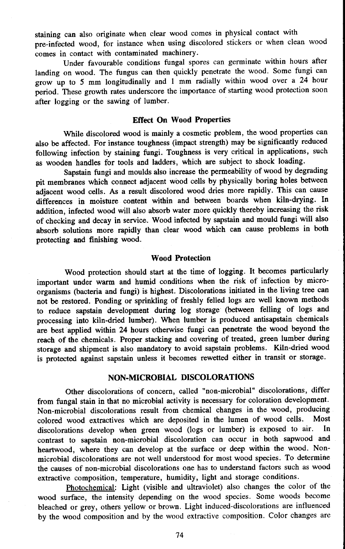staining can also originate when clear wood comes in physical contact with pre-infected wood, for instance when using discolored stickers or when clean wood comes in contact with contaminated machinery.

Under favourable conditions fungal spores can germinate within hours after landing on wood. The fungus can then quickly penetrate the wood. Some fungi can grow up to **5** mm longitudinally and 1 mm radially within wood over a 24 hour period. These growth rates underscore the importance of starting wood protection soon after logging or the sawing of lumber.

## **Effect On Wood Properties**

While discolored wood is mainly a cosmetic problem, the wood properties can also be affected. For instance toughness (impact strength) may be significantly reduced following infection by staining fungi. Toughness is very critical in applications, such as wooden handles for tools and ladders, which are subject to shock loading.

Sapstain fungi and moulds also increase the permeability of wood by degrading pit membranes which connect adjacent wood cells by physically boring holes between adjacent wood cells. As a result discolored wood dries more rapidly. This can cause differences in moisture content within and between boards when kiln-drying. In addition, infected wood will also absorb water more quickly thereby increasing the risk of checking and decay in service. Wood infected by sapstain and mould fungi will also absorb solutions more rapidly than clear wood which can cause problems in both protecting and finishing wood.

## **Wood Protection**

Wood protection should start at the time of logging. **It** becomes particularly important under warm and humid conditions when the risk of infection by microorganisms (bacteria and fungi) is highest. Discolorations initiated in the living tree can not be restored. Ponding or sprinkling of freshly felled logs are well known methods to reduce sapstain development during log storage (between felling of logs and processing into kiln-dried lumber). When lumber is produced antisapstain chemicals are best applied within 24 hours otherwise fungi can penetrate the wood beyond the reach of the chemicals. Proper stacking and covering of treated, green lumber during storage and shipment is also mandatory to avoid sapstain problems. Kiln-dried wood is protected against sapstain unless it becomes rewetted either in transit or storage.

## **NON-MICROBIAL DISCOLORATIONS**

Other discolorations of concern, called "non-microbial" discolorations, differ from fungal stain in that no microbial activity is necessary for coloration development. Non-microbial discolorations result from chemical changes in the wood, producing<br>colored wood extractives which are deposited in the lumen of wood cells. Most colored wood extractives which are deposited in the lumen of wood cells. Most discolorations develop when green wood (logs or lumber) is exposed to air. In discolorations develop when green wood (logs or lumber) is exposed to air. **In** contrast to sapstain non-microbial discoloration can occur in both sapwood and heartwood, where they can develop at the surface or deep within the wood. Nonmicrobial discolorations are not well understood for most wood species. **To** determine the causes of non-microbial discolorations one has to understand factors such as wood extractive composition, temperature, humidity, light and storage conditions.

Photochemical: Light (visible and ultraviolet) also changes the color of the wood surface, the intensity depending on the wood species. Some woods become bleached or grey, others yellow or brown. Light induced-discolorations are influenced by the wood composition and by the wood extractive composition. Color changes are

74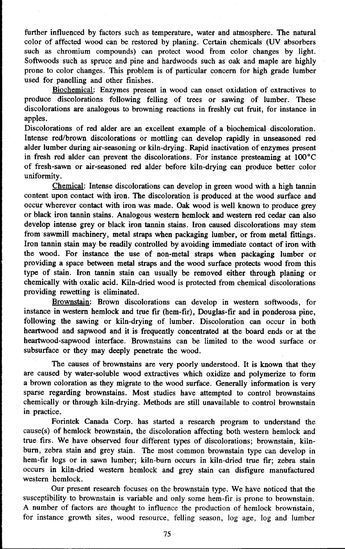further influenced by factors such as temperature, water and atmosphere. The natural color of affected wood can be restored by planing. Certain chemicals (UV absorbers such as chromium compounds) can protect wood from color changes by light. Softwoods such as spruce and pine and hardwoods such as oak and maple are highly prone to color changes. This problem is of particular concern for high grade lumber used for panelling and other finishes.

Biochemical: Enzymes present in wood can onset oxidation of extractives to produce discolorations following felling of trees or sawing of lumber. These discolorations are analogous to browning reactions in freshly cut fruit, for instance in apples.

Discolorations of red alder are an excellent example of a biochemical discoloration. Intense red/brown discolorations or mottling can develop rapidly in unseasoned red alder lumber during air-seasoning or kiln-drying. Rapid inactivation of enzymes present in fresh red alder can prevent the discolorations. For instance presteaming at  $100^{\circ}$ C of fresh-sawn or air-seasoned red alder before kiln-drying can produce better color uniformity.

Chemical: Intense discolorations can develop in green wood with a high tannin content upon contact with iron. The discoloration is produced at the wood surface and occur wherever contact with iron was made. Oak wood is well known to produce grey or black iron tannin stains. Analogous western hemlock and western red cedar can also develop intense grey or black iron tannin stains. Iron caused discolorations may stem from sawmill machinery, metal straps when packaging lumber, or from metal fittings. Iron tannin stain may be readily controlled by avoiding immediate contact of iron with the wood. For instance the use of non-metal straps when packaging lumber or providing a space between metal straps and the wood surface protects wood from this type of stain. Iron tannin stain can usually be removed either through planing or chemically with oxalic acid. Kiln-dried wood is protected from chemical discolorations providing rewetting is eliminated.

Brownstain: Brown discolorations can develop in western softwoods, for instance in western hemlock and true fir (hem-fir), Douglas-fir and in ponderosa pine, following the sawing or kiln-drying of lumber. Discoloration can occur in both heartwood and sapwood and it is frequently concentrated at the board ends or at the heartwood-sapwood interface. Brownstains can be limited to the wood surface or subsurface or they may deeply penetrate the wood.

The causes of brownstains are very poorly understood. It is known that they are caused by water-soluble wood extractives which oxidize and polymerize to form a brown coloration as they migrate to the wood surface. Generally information is very sparse regarding brownstains. Most studies have attempted to control brownstains chemically or through kiln-drying. Methods are still unavailable to control brownstain in practice.

Forintek Canada Corp. has started a research program to understand the cause(s) of hemlock brownstain, the discoloration affecting both western hemlock and true firs. We have observed four different types of discolorations; brownstain, kilnburn, zebra stain and grey stain. The most common brownstain type can develop in hem-fir logs or in sawn lumber; kiln-burn occurs in kiln-dried true fir; zebra stain occurs in kiln-dried western hemlock and grey stain can disfigure manufactured western hemlock.

Our present research focuses on the brownstain type. We have noticed that the susceptibility to brownstain is variable and only some hem-fir is prone to brownstain. A number of factors are thought to influence the production of hemlock brownstain, for instance growth sites, wood resource, felling season, log age, log and lumber